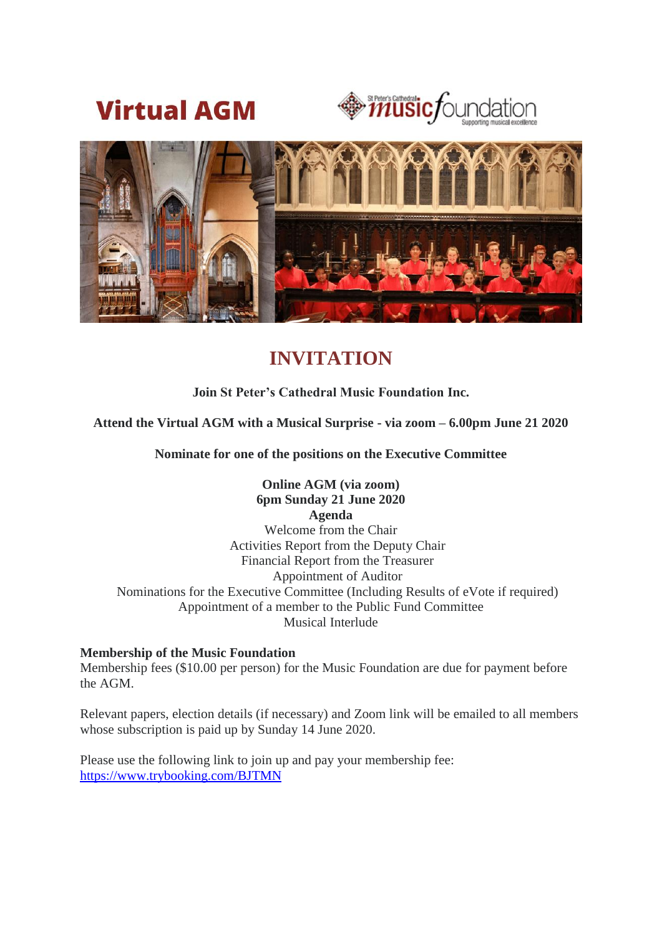





# **INVITATION**

# **Join St Peter's Cathedral Music Foundation Inc.**

## **Attend the Virtual AGM with a Musical Surprise - via zoom – 6.00pm June 21 2020**

**Nominate for one of the positions on the Executive Committee**

# **Online AGM (via zoom) 6pm Sunday 21 June 2020**

**Agenda** Welcome from the Chair Activities Report from the Deputy Chair Financial Report from the Treasurer Appointment of Auditor Nominations for the Executive Committee (Including Results of eVote if required) Appointment of a member to the Public Fund Committee Musical Interlude

#### **Membership of the Music Foundation**

Membership fees (\$10.00 per person) for the Music Foundation are due for payment before the AGM.

Relevant papers, election details (if necessary) and Zoom link will be emailed to all members whose subscription is paid up by Sunday 14 June 2020.

Please use the following link to join up and pay your membership fee: <https://www.trybooking.com/BJTMN>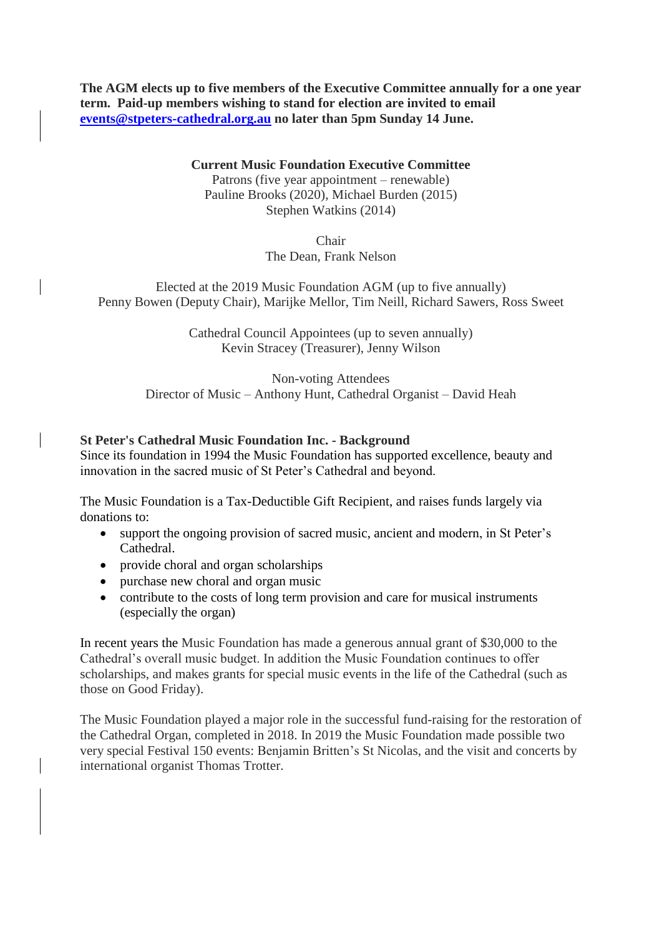**The AGM elects up to five members of the Executive Committee annually for a one year term. Paid-up members wishing to stand for election are invited to email [events@stpeters-cathedral.org.au](mailto:events@stpeters-cathedral.org.au) no later than 5pm Sunday 14 June.**

# **Current Music Foundation Executive Committee**

Patrons (five year appointment – renewable) Pauline Brooks (2020), Michael Burden (2015) Stephen Watkins (2014)

> Chair The Dean, Frank Nelson

Elected at the 2019 Music Foundation AGM (up to five annually) Penny Bowen (Deputy Chair), Marijke Mellor, Tim Neill, Richard Sawers, Ross Sweet

> Cathedral Council Appointees (up to seven annually) Kevin Stracey (Treasurer), Jenny Wilson

Non-voting Attendees Director of Music – Anthony Hunt, Cathedral Organist – David Heah

## **St Peter's Cathedral Music Foundation Inc. - Background**

Since its foundation in 1994 the Music Foundation has supported excellence, beauty and innovation in the sacred music of St Peter's Cathedral and beyond.

The Music Foundation is a Tax-Deductible Gift Recipient, and raises funds largely via donations to:

- support the ongoing provision of sacred music, ancient and modern, in St Peter's Cathedral.
- provide choral and organ scholarships
- purchase new choral and organ music
- contribute to the costs of long term provision and care for musical instruments (especially the organ)

In recent years the Music Foundation has made a generous annual grant of \$30,000 to the Cathedral's overall music budget. In addition the Music Foundation continues to offer scholarships, and makes grants for special music events in the life of the Cathedral (such as those on Good Friday).

The Music Foundation played a major role in the successful fund-raising for the restoration of the Cathedral Organ, completed in 2018. In 2019 the Music Foundation made possible two very special Festival 150 events: Benjamin Britten's St Nicolas, and the visit and concerts by international organist Thomas Trotter.